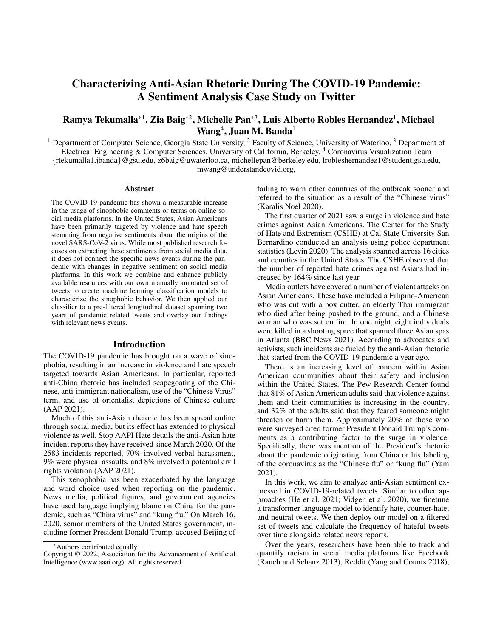# Characterizing Anti-Asian Rhetoric During The COVID-19 Pandemic: A Sentiment Analysis Case Study on Twitter

## Ramya Tekumalla\*<sup>1</sup>, Zia Baig\*<sup>2</sup>, Michelle Pan\*<sup>3</sup>, Luis Alberto Robles Hernandez<sup>1</sup>, Michael  $\textbf{Wang}^4$ , Juan M. Banda<sup>1</sup>

<sup>1</sup> Department of Computer Science, Georgia State University,  $^2$  Faculty of Science, University of Waterloo,  $^3$  Department of Electrical Engineering & Computer Sciences, University of California, Berkeley, <sup>4</sup> Coronavirus Visualization Team {rtekumalla1,jbanda}@gsu.edu, z6baig@uwaterloo.ca, michellepan@berkeley.edu, lrobleshernandez1@student.gsu.edu, mwang@understandcovid.org,

#### Abstract

The COVID-19 pandemic has shown a measurable increase in the usage of sinophobic comments or terms on online social media platforms. In the United States, Asian Americans have been primarily targeted by violence and hate speech stemming from negative sentiments about the origins of the novel SARS-CoV-2 virus. While most published research focuses on extracting these sentiments from social media data, it does not connect the specific news events during the pandemic with changes in negative sentiment on social media platforms. In this work we combine and enhance publicly available resources with our own manually annotated set of tweets to create machine learning classification models to characterize the sinophobic behavior. We then applied our classifier to a pre-filtered longitudinal dataset spanning two years of pandemic related tweets and overlay our findings with relevant news events.

## Introduction

The COVID-19 pandemic has brought on a wave of sinophobia, resulting in an increase in violence and hate speech targeted towards Asian Americans. In particular, reported anti-China rhetoric has included scapegoating of the Chinese, anti-immigrant nationalism, use of the "Chinese Virus" term, and use of orientalist depictions of Chinese culture (AAP 2021).

Much of this anti-Asian rhetoric has been spread online through social media, but its effect has extended to physical violence as well. Stop AAPI Hate details the anti-Asian hate incident reports they have received since March 2020. Of the 2583 incidents reported, 70% involved verbal harassment, 9% were physical assaults, and 8% involved a potential civil rights violation (AAP 2021).

This xenophobia has been exacerbated by the language and word choice used when reporting on the pandemic. News media, political figures, and government agencies have used language implying blame on China for the pandemic, such as "China virus" and "kung flu." On March 16, 2020, senior members of the United States government, including former President Donald Trump, accused Beijing of

failing to warn other countries of the outbreak sooner and referred to the situation as a result of the "Chinese virus" (Karalis Noel 2020).

The first quarter of 2021 saw a surge in violence and hate crimes against Asian Americans. The Center for the Study of Hate and Extremism (CSHE) at Cal State University San Bernardino conducted an analysis using police department statistics (Levin 2020). The analysis spanned across 16 cities and counties in the United States. The CSHE observed that the number of reported hate crimes against Asians had increased by 164% since last year.

Media outlets have covered a number of violent attacks on Asian Americans. These have included a Filipino-American who was cut with a box cutter, an elderly Thai immigrant who died after being pushed to the ground, and a Chinese woman who was set on fire. In one night, eight individuals were killed in a shooting spree that spanned three Asian spas in Atlanta (BBC News 2021). According to advocates and activists, such incidents are fueled by the anti-Asian rhetoric that started from the COVID-19 pandemic a year ago.

There is an increasing level of concern within Asian American communities about their safety and inclusion within the United States. The Pew Research Center found that 81% of Asian American adults said that violence against them and their communities is increasing in the country, and 32% of the adults said that they feared someone might threaten or harm them. Approximately 20% of those who were surveyed cited former President Donald Trump's comments as a contributing factor to the surge in violence. Specifically, there was mention of the President's rhetoric about the pandemic originating from China or his labeling of the coronavirus as the "Chinese flu" or "kung flu" (Yam 2021).

In this work, we aim to analyze anti-Asian sentiment expressed in COVID-19-related tweets. Similar to other approaches (He et al. 2021; Vidgen et al. 2020), we finetune a transformer language model to identify hate, counter-hate, and neutral tweets. We then deploy our model on a filtered set of tweets and calculate the frequency of hateful tweets over time alongside related news reports.

Over the years, researchers have been able to track and quantify racism in social media platforms like Facebook (Rauch and Schanz 2013), Reddit (Yang and Counts 2018),

<sup>\*</sup>Authors contributed equally

Copyright © 2022, Association for the Advancement of Artificial Intelligence (www.aaai.org). All rights reserved.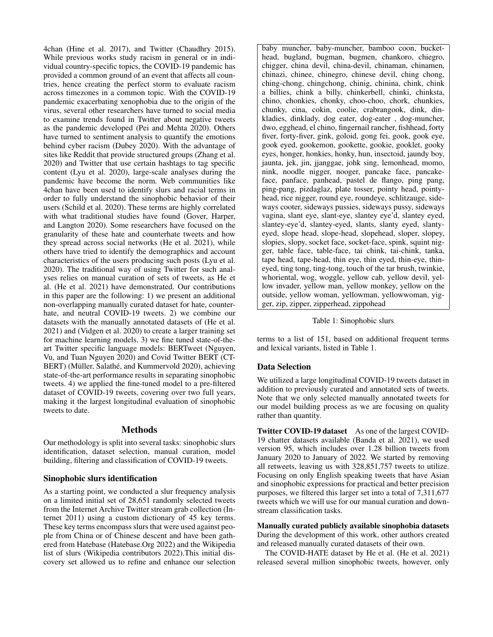4chan (Hine et al. 2017), and Twitter (Chaudhry 2015). While previous works study racism in general or in individual country-specific topics, the COVID-19 pandemic has provided a common ground of an event that affects all countries, hence creating the perfect storm to evaluate racism across timezones in a common topic. With the COVID-19 pandemic exacerbating xenophobia due to the origin of the virus, several other researchers have turned to social media to examine trends found in Twitter about negative tweets as the pandemic developed (Pei and Mehta 2020). Others have turned to sentiment analysis to quantify the emotions behind cyber racism (Dubey 2020). With the advantage of sites like Reddit that provide structured groups (Zhang et al. 2020) and Twitter that use certain hashtags to tag specific content (Lyu et al. 2020), large-scale analyses during the pandemic have become the norm. Web communities like 4chan have been used to identify slurs and racial terms in order to fully understand the sinophobic behavior of their users (Schild et al. 2020). These terms are highly correlated with what traditional studies have found (Gover, Harper, and Langton 2020). Some researchers have focused on the granularity of these hate and counterhate tweets and how they spread across social networks (He et al. 2021), while others have tried to identify the demographics and account characteristics of the users producing such posts (Lyu et al. 2020). The traditional way of using Twitter for such analyses relies on manual curation of sets of tweets, as He et al. (He et al. 2021) have demonstrated. Our contributions in this paper are the following: 1) we present an additional non-overlapping manually curated dataset for hate, counterhate, and neutral COVID-19 tweets. 2) we combine our datasets with the manually annotated datasets of (He et al. 2021) and (Vidgen et al. 2020) to create a larger training set for machine learning models. 3) we fine tuned state-of-theart Twitter specific language models: BERTweet (Nguyen, Vu, and Tuan Nguyen 2020) and Covid Twitter BERT (CT-BERT) (Müller, Salathé, and Kummervold 2020), achieving state-of-the-art performance results in separating sinophobic tweets. 4) we applied the fine-tuned model to a pre-filtered dataset of COVID-19 tweets, covering over two full years, making it the largest longitudinal evaluation of sinophobic tweets to date.

## Methods

Our methodology is split into several tasks: sinophobic slurs identification, dataset selection, manual curation, model building, filtering and classification of COVID-19 tweets.

## Sinophobic slurs identification

As a starting point, we conducted a slur frequency analysis on a limited initial set of 28,651 randomly selected tweets from the Internet Archive Twitter stream grab collection (Internet 2011) using a custom dictionary of 45 key terms. These key terms encompass slurs that were used against people from China or of Chinese descent and have been gathered from Hatebase (Hatebase.Org 2022) and the Wikipedia list of slurs (Wikipedia contributors 2022).This initial discovery set allowed us to refine and enhance our selection

baby muncher, baby-muncher, bamboo coon, buckethead, bugland, bugman, bugmen, chankoro, chiegro, chigger, china devil, china-devil, chinaman, chinamen, chinazi, chinee, chinegro, chinese devil, ching chong, ching-chong, chingchong, chinig, chinina, chink, chink a billies, chink a billy, chinkerbell, chinki, chinksta, chino, chonkies, chonky, choo-choo, chork, chunkies, chunky, cina, cokin, coolie, crabrangook, dink, dinkladies, dinklady, dog eater, dog-eater , dog-muncher, dwo, egghead, el chino, fingernail rancher, fishhead, forty fiver, forty-fiver, gink, goloid, gong fei, gook, gook eye, gook eyed, gookemon, gookette, gookie, gooklet, gooky eyes, honger, honkies, honky, hun, insectoid, jaundy boy, jaunta, jek, jin, jjanggae, johk sing, lemonhead, momo, nink, noodle nigger, nooger, pancake face, pancakeface, panface, panhead, pastel de flango, ping pang, ping-pang, pizdaglaz, plate tosser, pointy head, pointyhead, rice nigger, round eye, roundeye, schlitzauge, sideways cooter, sideways pussies, sideways pussy, sideways vagina, slant eye, slant-eye, slantey eye'd, slantey eyed, slantey-eye'd, slantey-eyed, slants, slanty eyed, slantyeyed, slope head, slope-head, slopehead, sloper, slopey, slopies, slopy, socket face, socket-face, spink, squint nigger, table face, table-face, tai chink, tai-chink, tanka, tape head, tape-head, thin eye, thin eyed, thin-eye, thineyed, ting tong, ting-tong, touch of the tar brush, twinkie, whoriental, wog, woggle, yellow cab, yellow devil, yellow invader, yellow man, yellow monkey, yellow on the outside, yellow woman, yellowman, yellowwoman, yigger, zip, zipper, zipperhead, zippohead

#### Table 1: Sinophobic slurs

terms to a list of 151, based on additional frequent terms and lexical variants, listed in Table 1.

#### Data Selection

We utilized a large longitudinal COVID-19 tweets dataset in addition to previously curated and annotated sets of tweets. Note that we only selected manually annotated tweets for our model building process as we are focusing on quality rather than quantity.

Twitter COVID-19 dataset As one of the largest COVID-19 chatter datasets available (Banda et al. 2021), we used version 95, which includes over 1.28 billion tweets from January 2020 to January of 2022. We started by removing all retweets, leaving us with 328,851,757 tweets to utilize. Focusing on only English speaking tweets that have Asian and sinophobic expressions for practical and better precision purposes, we filtered this larger set into a total of 7,311,677 tweets which we will use for our manual curation and downstream classification tasks.

Manually curated publicly available sinophobia datasets During the development of this work, other authors created and released manually curated datasets of their own.

The COVID-HATE dataset by He et al. (He et al. 2021) released several million sinophobic tweets, however, only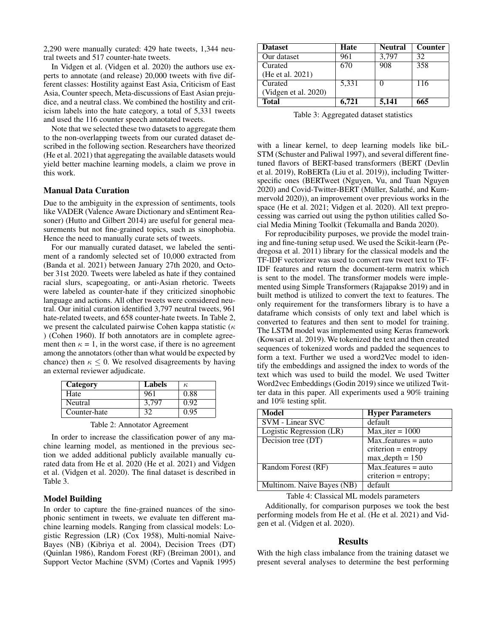2,290 were manually curated: 429 hate tweets, 1,344 neutral tweets and 517 counter-hate tweets.

In Vidgen et al. (Vidgen et al. 2020) the authors use experts to annotate (and release) 20,000 tweets with five different classes: Hostility against East Asia, Criticism of East Asia, Counter speech, Meta-discussions of East Asian prejudice, and a neutral class. We combined the hostility and criticism labels into the hate category, a total of 5,331 tweets and used the 116 counter speech annotated tweets.

Note that we selected these two datasets to aggregate them to the non-overlapping tweets from our curated dataset described in the following section. Researchers have theorized (He et al. 2021) that aggregating the available datasets would yield better machine learning models, a claim we prove in this work.

#### Manual Data Curation

Due to the ambiguity in the expression of sentiments, tools like VADER (Valence Aware Dictionary and sEntiment Reasoner) (Hutto and Gilbert 2014) are useful for general measurements but not fine-grained topics, such as sinophobia. Hence the need to manually curate sets of tweets.

For our manually curated dataset, we labeled the sentiment of a randomly selected set of 10,000 extracted from (Banda et al. 2021) between January 27th 2020, and October 31st 2020. Tweets were labeled as hate if they contained racial slurs, scapegoating, or anti-Asian rhetoric. Tweets were labeled as counter-hate if they criticized sinophobic language and actions. All other tweets were considered neutral. Our initial curation identified 3,797 neutral tweets, 961 hate-related tweets, and 658 counter-hate tweets. In Table 2, we present the calculated pairwise Cohen kappa statistic ( $\kappa$ ) (Cohen 1960). If both annotators are in complete agreement then  $\kappa = 1$ , in the worst case, if there is no agreement among the annotators (other than what would be expected by chance) then  $\kappa \leq 0$ . We resolved disagreements by having an external reviewer adjudicate.

| Category     | Labels | к,   |
|--------------|--------|------|
| Hate         | 961    | 0.88 |
| Neutral      | 3.797  | 0.92 |
| Counter-hate |        | 0.95 |

Table 2: Annotator Agreement

In order to increase the classification power of any machine learning model, as mentioned in the previous section we added additional publicly available manually curated data from He et al. 2020 (He et al. 2021) and Vidgen et al. (Vidgen et al. 2020). The final dataset is described in Table 3.

### Model Building

In order to capture the fine-grained nuances of the sinophonic sentiment in tweets, we evaluate ten different machine learning models. Ranging from classical models: Logistic Regression (LR) (Cox 1958), Multi-nomial Naive-Bayes (NB) (Kibriya et al. 2004), Decision Trees (DT) (Quinlan 1986), Random Forest (RF) (Breiman 2001), and Support Vector Machine (SVM) (Cortes and Vapnik 1995)

| <b>Dataset</b>       | Hate  | <b>Neutral</b> | <b>Counter</b> |
|----------------------|-------|----------------|----------------|
| Our dataset          | 961   | 3,797          | 32             |
| Curated              | 670   | 908            | 358            |
| (He et al. 2021)     |       |                |                |
| Curated              | 5,331 | 0              | 116            |
| (Vidgen et al. 2020) |       |                |                |
| <b>Total</b>         | 6,721 | 5.141          | 665            |

Table 3: Aggregated dataset statistics

with a linear kernel, to deep learning models like biL-STM (Schuster and Paliwal 1997), and several different finetuned flavors of BERT-based transformers (BERT (Devlin et al. 2019), RoBERTa (Liu et al. 2019)), including Twitterspecific ones (BERTweet (Nguyen, Vu, and Tuan Nguyen 2020) and Covid-Twitter-BERT (Müller, Salathé, and Kummervold 2020)), an improvement over previous works in the space (He et al. 2021; Vidgen et al. 2020). All text preprocessing was carried out using the python utilities called Social Media Mining Toolkit (Tekumalla and Banda 2020).

For reproducibility purposes, we provide the model training and fine-tuning setup used. We used the Scikit-learn (Pedregosa et al. 2011) library for the classical models and the TF-IDF vectorizer was used to convert raw tweet text to TF-IDF features and return the document-term matrix which is sent to the model. The transformer models were implemented using Simple Transformers (Rajapakse 2019) and in built method is utilized to convert the text to features. The only requirement for the transformers library is to have a dataframe which consists of only text and label which is converted to features and then sent to model for training. The LSTM model was implemented using Keras framework (Kowsari et al. 2019). We tokenized the text and then created sequences of tokenized words and padded the sequences to form a text. Further we used a word2Vec model to identify the embeddings and assigned the index to words of the text which was used to build the model. We used Twitter Word2vec Embeddings (Godin 2019) since we utilized Twitter data in this paper. All experiments used a 90% training and 10% testing split.

| <b>Model</b>               | <b>Hyper Parameters</b> |
|----------------------------|-------------------------|
| <b>SVM - Linear SVC</b>    | default                 |
| Logistic Regression (LR)   | $Max\$ iter = 1000      |
| Decision tree (DT)         | $Max_f$ features = auto |
|                            | $criterion = entropy$   |
|                            | $max\_depth = 150$      |
| Random Forest (RF)         | $Max_f$ eatures = auto  |
|                            | $criterion = entropy;$  |
| Multinom. Naive Bayes (NB) | default                 |

Table 4: Classical ML models parameters

Additionally, for comparison purposes we took the best performing models from He et al. (He et al. 2021) and Vidgen et al. (Vidgen et al. 2020).

#### Results

With the high class imbalance from the training dataset we present several analyses to determine the best performing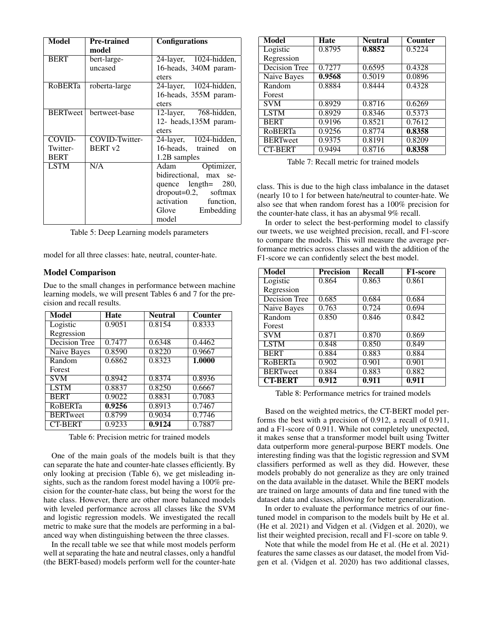| <b>Model</b>    | <b>Pre-trained</b> | <b>Configurations</b>                 |
|-----------------|--------------------|---------------------------------------|
|                 | model              |                                       |
| <b>BERT</b>     | bert-large-        | 24-layer, 1024-hidden,                |
|                 | uncased            | 16-heads, 340M param-                 |
|                 |                    | eters                                 |
| <b>RoBERTa</b>  | roberta-large      | 24-layer, 1024-hidden,                |
|                 |                    | 16-heads, 355M param-                 |
|                 |                    | eters                                 |
| <b>BERTweet</b> | bertweet-base      | 12-layer, 768-hidden,                 |
|                 |                    | 12- heads, 135M param-                |
|                 |                    | eters                                 |
| COVID-          | COVID-Twitter-     | 24-layer, 1024-hidden,                |
| Twitter-        | BERT <sub>v2</sub> | 16-heads, trained<br>$_{\rm on}$      |
| <b>BERT</b>     |                    | 1.2B samples                          |
| <b>LSTM</b>     | N/A                | Optimizer,<br>Adam                    |
|                 |                    | bidirectional, max se-                |
|                 |                    | quence $length=$ 280,                 |
|                 |                    | $\text{dropout}=0.2, \text{ softmax}$ |
|                 |                    | activation function,                  |
|                 |                    | Glove Embedding                       |
|                 |                    | model                                 |

Table 5: Deep Learning models parameters

model for all three classes: hate, neutral, counter-hate.

#### Model Comparison

Due to the small changes in performance between machine learning models, we will present Tables 6 and 7 for the precision and recall results.

| Model                | Hate   | <b>Neutral</b> | Counter |
|----------------------|--------|----------------|---------|
| Logistic             | 0.9051 | 0.8154         | 0.8333  |
| Regression           |        |                |         |
| <b>Decision Tree</b> | 0.7477 | 0.6348         | 0.4462  |
| <b>Naive Bayes</b>   | 0.8590 | 0.8220         | 0.9667  |
| Random               | 0.6862 | 0.8323         | 1.0000  |
| Forest               |        |                |         |
| <b>SVM</b>           | 0.8942 | 0.8374         | 0.8936  |
| <b>LSTM</b>          | 0.8837 | 0.8250         | 0.6667  |
| <b>BERT</b>          | 0.9022 | 0.8831         | 0.7083  |
| RoBERTa              | 0.9256 | 0.8913         | 0.7467  |
| <b>BERTweet</b>      | 0.8799 | 0.9034         | 0.7746  |
| <b>CT-BERT</b>       | 0.9233 | 0.9124         | 0.7887  |

Table 6: Precision metric for trained models

One of the main goals of the models built is that they can separate the hate and counter-hate classes efficiently. By only looking at precision (Table 6), we get misleading insights, such as the random forest model having a 100% precision for the counter-hate class, but being the worst for the hate class. However, there are other more balanced models with leveled performance across all classes like the SVM and logistic regression models. We investigated the recall metric to make sure that the models are performing in a balanced way when distinguishing between the three classes.

In the recall table we see that while most models perform well at separating the hate and neutral classes, only a handful (the BERT-based) models perform well for the counter-hate

| Model                | <b>Hate</b> | <b>Neutral</b> | Counter |  |
|----------------------|-------------|----------------|---------|--|
| Logistic             | 0.8795      | 0.8852         | 0.5224  |  |
| Regression           |             |                |         |  |
| <b>Decision Tree</b> | 0.7277      | 0.6595         | 0.4328  |  |
| Naive Bayes          | 0.9568      | 0.5019         | 0.0896  |  |
| Random               | 0.8884      |                | 0.4328  |  |
| Forest               |             |                |         |  |
| <b>SVM</b>           | 0.8929      | 0.8716         | 0.6269  |  |
| <b>LSTM</b>          | 0.8929      | 0.8346         | 0.5373  |  |
| <b>BERT</b>          | 0.9196      | 0.8521         | 0.7612  |  |
| <b>RoBERTa</b>       | 0.9256      | 0.8774         | 0.8358  |  |
| <b>BERTweet</b>      | 0.9375      | 0.8191         | 0.8209  |  |
| <b>CT-BERT</b>       | 0.9494      | 0.8716         | 0.8358  |  |

Table 7: Recall metric for trained models

class. This is due to the high class imbalance in the dataset (nearly 10 to 1 for between hate/neutral to counter-hate. We also see that when random forest has a 100% precision for the counter-hate class, it has an abysmal 9% recall.

In order to select the best-performing model to classify our tweets, we use weighted precision, recall, and F1-score to compare the models. This will measure the average performance metrics across classes and with the addition of the F1-score we can confidently select the best model.

| <b>Model</b>         | <b>Precision</b> | <b>Recall</b> | <b>F1-score</b> |
|----------------------|------------------|---------------|-----------------|
| Logistic             | 0.864            | 0.863         | 0.861           |
| Regression           |                  |               |                 |
| <b>Decision Tree</b> | 0.685            | 0.684         | 0.684           |
| <b>Naive Bayes</b>   | 0.763            | 0.724         | 0.694           |
| Random               | 0.850            | 0.846         | 0.842           |
| Forest               |                  |               |                 |
| <b>SVM</b>           | 0.871            | 0.870         | 0.869           |
| <b>LSTM</b>          | 0.848            | 0.850         | 0.849           |
| <b>BERT</b>          | 0.884            | 0.883         | 0.884           |
| <b>RoBERTa</b>       | 0.902            | 0.901         | 0.901           |
| <b>BERTweet</b>      | 0.884            | 0.883         | 0.882           |
| <b>CT-BERT</b>       | 0.912            | 0.911         | 0.911           |

Table 8: Performance metrics for trained models

Based on the weighted metrics, the CT-BERT model performs the best with a precision of 0.912, a recall of 0.911, and a F1-score of 0.911. While not completely unexpected, it makes sense that a transformer model built using Twitter data outperform more general-purpose BERT models. One interesting finding was that the logistic regression and SVM classifiers performed as well as they did. However, these models probably do not generalize as they are only trained on the data available in the dataset. While the BERT models are trained on large amounts of data and fine tuned with the dataset data and classes, allowing for better generalization.

In order to evaluate the performance metrics of our finetuned model in comparison to the models built by He et al. (He et al. 2021) and Vidgen et al. (Vidgen et al. 2020), we list their weighted precision, recall and F1-score on table 9.

Note that while the model from He et al. (He et al. 2021) features the same classes as our dataset, the model from Vidgen et al. (Vidgen et al. 2020) has two additional classes,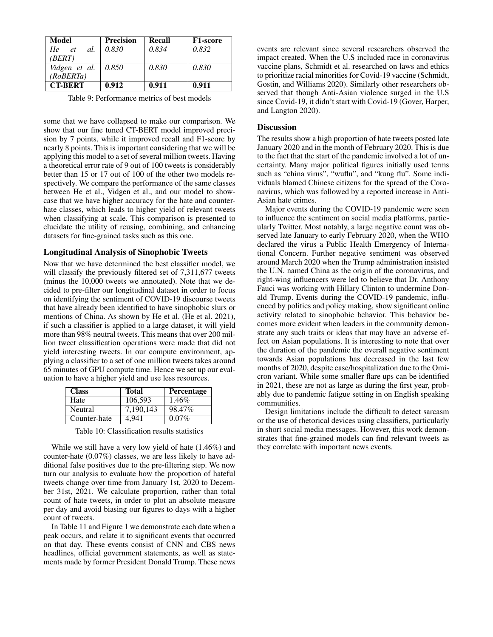| Model          | <b>Precision</b> | Recall | <b>F1-score</b> |
|----------------|------------------|--------|-----------------|
| He et<br>al.   | 0.830            | 0.834  | 0.832           |
| (BERT)         |                  |        |                 |
| Vidgen et al.  | 0.850            | 0.830  | 0.830           |
| (RoBERTa)      |                  |        |                 |
| <b>CT-BERT</b> | 0.912            | 0.911  | 0.911           |

Table 9: Performance metrics of best models

some that we have collapsed to make our comparison. We show that our fine tuned CT-BERT model improved precision by 7 points, while it improved recall and F1-score by nearly 8 points. This is important considering that we will be applying this model to a set of several million tweets. Having a theoretical error rate of 9 out of 100 tweets is considerably better than 15 or 17 out of 100 of the other two models respectively. We compare the performance of the same classes between He et al., Vidgen et al., and our model to showcase that we have higher accuracy for the hate and counterhate classes, which leads to higher yield of relevant tweets when classifying at scale. This comparison is presented to elucidate the utility of reusing, combining, and enhancing datasets for fine-grained tasks such as this one.

### Longitudinal Analysis of Sinophobic Tweets

Now that we have determined the best classifier model, we will classify the previously filtered set of 7,311,677 tweets (minus the 10,000 tweets we annotated). Note that we decided to pre-filter our longitudinal dataset in order to focus on identifying the sentiment of COVID-19 discourse tweets that have already been identified to have sinophobic slurs or mentions of China. As shown by He et al. (He et al. 2021), if such a classifier is applied to a large dataset, it will yield more than 98% neutral tweets. This means that over 200 million tweet classification operations were made that did not yield interesting tweets. In our compute environment, applying a classifier to a set of one million tweets takes around 65 minutes of GPU compute time. Hence we set up our evaluation to have a higher yield and use less resources.

| <b>Class</b> | <b>Total</b> | Percentage |
|--------------|--------------|------------|
| Hate         | 106.593      | 1.46%      |
| Neutral      | 7.190.143    | 98.47%     |
| Counter-hate | 4.941        | $0.07\%$   |

Table 10: Classification results statistics

While we still have a very low yield of hate (1.46%) and counter-hate (0.07%) classes, we are less likely to have additional false positives due to the pre-filtering step. We now turn our analysis to evaluate how the proportion of hateful tweets change over time from January 1st, 2020 to December 31st, 2021. We calculate proportion, rather than total count of hate tweets, in order to plot an absolute measure per day and avoid biasing our figures to days with a higher count of tweets.

In Table 11 and Figure 1 we demonstrate each date when a peak occurs, and relate it to significant events that occurred on that day. These events consist of CNN and CBS news headlines, official government statements, as well as statements made by former President Donald Trump. These news

events are relevant since several researchers observed the impact created. When the U.S included race in coronavirus vaccine plans, Schmidt et al. researched on laws and ethics to prioritize racial minorities for Covid-19 vaccine (Schmidt, Gostin, and Williams 2020). Similarly other researchers observed that though Anti-Asian violence surged in the U.S since Covid-19, it didn't start with Covid-19 (Gover, Harper, and Langton 2020).

#### **Discussion**

The results show a high proportion of hate tweets posted late January 2020 and in the month of February 2020. This is due to the fact that the start of the pandemic involved a lot of uncertainty. Many major political figures initially used terms such as "china virus", "wuflu", and "kung flu". Some individuals blamed Chinese citizens for the spread of the Coronavirus, which was followed by a reported increase in Anti-Asian hate crimes.

Major events during the COVID-19 pandemic were seen to influence the sentiment on social media platforms, particularly Twitter. Most notably, a large negative count was observed late January to early February 2020, when the WHO declared the virus a Public Health Emergency of International Concern. Further negative sentiment was observed around March 2020 when the Trump administration insisted the U.N. named China as the origin of the coronavirus, and right-wing influencers were led to believe that Dr. Anthony Fauci was working with Hillary Clinton to undermine Donald Trump. Events during the COVID-19 pandemic, influenced by politics and policy making, show significant online activity related to sinophobic behavior. This behavior becomes more evident when leaders in the community demonstrate any such traits or ideas that may have an adverse effect on Asian populations. It is interesting to note that over the duration of the pandemic the overall negative sentiment towards Asian populations has decreased in the last few months of 2020, despite case/hospitalization due to the Omicron variant. While some smaller flare ups can be identified in 2021, these are not as large as during the first year, probably due to pandemic fatigue setting in on English speaking communities.

Design limitations include the difficult to detect sarcasm or the use of rhetorical devices using classifiers, particularly in short social media messages. However, this work demonstrates that fine-grained models can find relevant tweets as they correlate with important news events.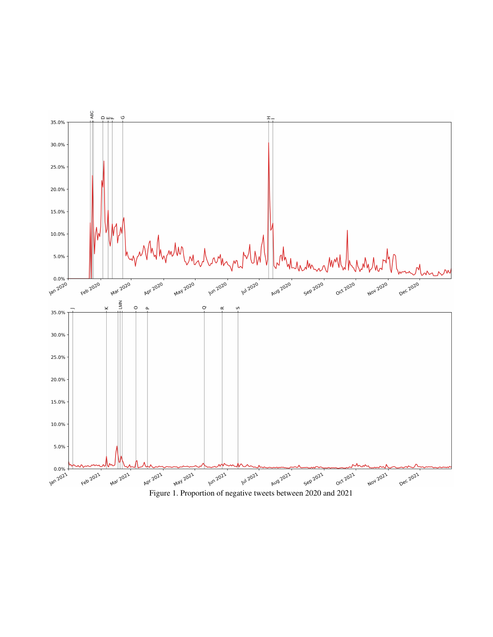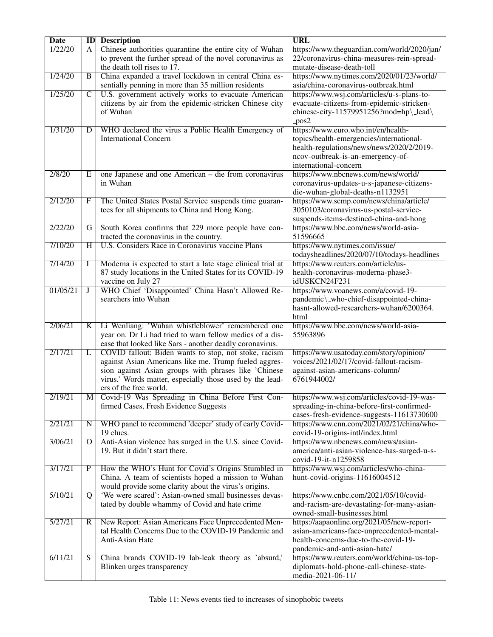| <b>Date</b> | ID                      | <b>Description</b>                                          | <b>URL</b>                                  |
|-------------|-------------------------|-------------------------------------------------------------|---------------------------------------------|
| 1/22/20     | A                       | Chinese authorities quarantine the entire city of Wuhan     | https://www.theguardian.com/world/2020/jan/ |
|             |                         | to prevent the further spread of the novel coronavirus as   | 22/coronavirus-china-measures-rein-spread-  |
|             |                         | the death toll rises to 17.                                 | mutate-disease-death-toll                   |
| 1/24/20     | $\overline{B}$          | China expanded a travel lockdown in central China es-       | https://www.nytimes.com/2020/01/23/world/   |
|             |                         | sentially penning in more than 35 million residents         | asia/china-coronavirus-outbreak.html        |
| 1/25/20     | $\overline{C}$          | U.S. government actively works to evacuate American         | https://www.wsj.com/articles/u-s-plans-to-  |
|             |                         | citizens by air from the epidemic-stricken Chinese city     | evacuate-citizens-from-epidemic-stricken-   |
|             |                         | of Wuhan                                                    | chinese-city-11579951256?mod=hp\_lead\      |
|             |                         |                                                             | $-pos2$                                     |
| 1/31/20     | D                       | WHO declared the virus a Public Health Emergency of         | https://www.euro.who.int/en/health-         |
|             |                         | <b>International Concern</b>                                | topics/health-emergencies/international-    |
|             |                         |                                                             | health-regulations/news/news/2020/2/2019-   |
|             |                         |                                                             | ncov-outbreak-is-an-emergency-of-           |
|             |                         |                                                             | international-concern                       |
| 2/8/20      | E                       | one Japanese and one American – die from coronavirus        | https://www.nbcnews.com/news/world/         |
|             |                         | in Wuhan                                                    | coronavirus-updates-u-s-japanese-citizens-  |
|             |                         |                                                             | die-wuhan-global-deaths-n1132951            |
| 2/12/20     | F                       | The United States Postal Service suspends time guaran-      | https://www.scmp.com/news/china/article/    |
|             |                         | tees for all shipments to China and Hong Kong.              | 3050103/coronavirus-us-postal-service-      |
|             |                         |                                                             | suspends-items-destined-china-and-hong      |
| 2/22/20     | G                       | South Korea confirms that 229 more people have con-         | https://www.bbc.com/news/world-asia-        |
|             |                         | tracted the coronavirus in the country.                     | 51596665                                    |
| 7/10/20     | H                       | U.S. Considers Race in Coronavirus vaccine Plans            | https://www.nytimes.com/issue/              |
|             |                         |                                                             | todaysheadlines/2020/07/10/todays-headlines |
| 7/14/20     | Ι                       | Moderna is expected to start a late stage clinical trial at | https://www.reuters.com/article/us-         |
|             |                         | 87 study locations in the United States for its COVID-19    | health-coronavirus-moderna-phase3-          |
|             |                         | vaccine on July 27                                          | idUSKCN24F231                               |
| 01/05/21    | J                       | WHO Chief 'Disappointed' China Hasn't Allowed Re-           | https://www.voanews.com/a/covid-19-         |
|             |                         | searchers into Wuhan                                        | pandemic\_who-chief-disappointed-china-     |
|             |                         |                                                             | hasnt-allowed-researchers-wuhan/6200364.    |
|             |                         |                                                             | html                                        |
| 2/06/21     | $\overline{\mathbf{K}}$ | Li Wenliang: 'Wuhan whistleblower' remembered one           | https://www.bbc.com/news/world-asia-        |
|             |                         | year on. Dr Li had tried to warn fellow medics of a dis-    | 55963896                                    |
|             |                         | ease that looked like Sars - another deadly coronavirus.    |                                             |
| 2/17/21     | L                       | COVID fallout: Biden wants to stop, not stoke, racism       | https://www.usatoday.com/story/opinion/     |
|             |                         | against Asian Americans like me. Trump fueled aggres-       | voices/2021/02/17/covid-fallout-racism-     |
|             |                         | sion against Asian groups with phrases like 'Chinese        | against-asian-americans-column/             |
|             |                         | virus.' Words matter, especially those used by the lead-    | 6761944002/                                 |
|             |                         | ers of the free world.                                      |                                             |
| 2/19/21     |                         | M Covid-19 Was Spreading in China Before First Con-         | https://www.wsj.com/articles/covid-19-was-  |
|             |                         | firmed Cases, Fresh Evidence Suggests                       | spreading-in-china-before-first-confirmed-  |
|             |                         |                                                             | cases-fresh-evidence-suggests-11613730600   |
| 2/21/21     | N                       | WHO panel to recommend 'deeper' study of early Covid-       | https://www.cnn.com/2021/02/21/china/who-   |
|             |                         | 19 clues.                                                   | covid-19-origins-intl/index.html            |
| 3/06/21     | $\Omega$                | Anti-Asian violence has surged in the U.S. since Covid-     | https://www.nbcnews.com/news/asian-         |
|             |                         | 19. But it didn't start there.                              | america/anti-asian-violence-has-surged-u-s- |
|             |                         |                                                             | covid-19-it-n1259858                        |
| 3/17/21     | P                       | How the WHO's Hunt for Covid's Origins Stumbled in          | https://www.wsj.com/articles/who-china-     |
|             |                         | China. A team of scientists hoped a mission to Wuhan        | hunt-covid-origins-11616004512              |
|             |                         | would provide some clarity about the virus's origins.       |                                             |
| 5/10/21     | Q                       | 'We were scared': Asian-owned small businesses devas-       | https://www.cnbc.com/2021/05/10/covid-      |
|             |                         | tated by double whammy of Covid and hate crime              | and-racism-are-devastating-for-many-asian-  |
|             |                         |                                                             | owned-small-businesses.html                 |
| 5/27/21     | R                       | New Report: Asian Americans Face Unprecedented Men-         | https://aapaonline.org/2021/05/new-report-  |
|             |                         | tal Health Concerns Due to the COVID-19 Pandemic and        | asian-americans-face-unprecedented-mental-  |
|             |                         | Anti-Asian Hate                                             | health-concerns-due-to-the-covid-19-        |
|             |                         |                                                             | pandemic-and-anti-asian-hate/               |
| 6/11/21     | $\overline{S}$          | China brands COVID-19 lab-leak theory as 'absurd,'          | https://www.reuters.com/world/china-us-top- |
|             |                         | Blinken urges transparency                                  | diplomats-hold-phone-call-chinese-state-    |
|             |                         |                                                             | media-2021-06-11/                           |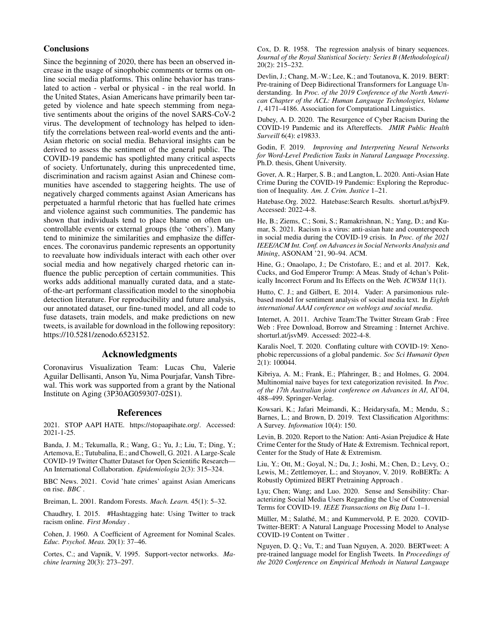## **Conclusions**

Since the beginning of 2020, there has been an observed increase in the usage of sinophobic comments or terms on online social media platforms. This online behavior has translated to action - verbal or physical - in the real world. In the United States, Asian Americans have primarily been targeted by violence and hate speech stemming from negative sentiments about the origins of the novel SARS-CoV-2 virus. The development of technology has helped to identify the correlations between real-world events and the anti-Asian rhetoric on social media. Behavioral insights can be derived to assess the sentiment of the general public. The COVID-19 pandemic has spotlighted many critical aspects of society. Unfortunately, during this unprecedented time, discrimination and racism against Asian and Chinese communities have ascended to staggering heights. The use of negatively charged comments against Asian Americans has perpetuated a harmful rhetoric that has fuelled hate crimes and violence against such communities. The pandemic has shown that individuals tend to place blame on often uncontrollable events or external groups (the 'others'). Many tend to minimize the similarities and emphasize the differences. The coronavirus pandemic represents an opportunity to reevaluate how individuals interact with each other over social media and how negatively charged rhetoric can influence the public perception of certain communities. This works adds additional manually curated data, and a stateof-the-art performant classification model to the sinophobia detection literature. For reproducibility and future analysis, our annotated dataset, our fine-tuned model, and all code to fuse datasets, train models, and make predictions on new tweets, is available for download in the following repository: https://10.5281/zenodo.6523152.

## Acknowledgments

Coronavirus Visualization Team: Lucas Chu, Valerie Aguilar Dellisanti, Anson Yu, Nima Pourjafar, Vansh Tibrewal. This work was supported from a grant by the National Institute on Aging (3P30AG059307-02S1).

#### References

2021. STOP AAPI HATE. https://stopaapihate.org/. Accessed: 2021-1-25.

Banda, J. M.; Tekumalla, R.; Wang, G.; Yu, J.; Liu, T.; Ding, Y.; Artemova, E.; Tutubalina, E.; and Chowell, G. 2021. A Large-Scale COVID-19 Twitter Chatter Dataset for Open Scientific Research— An International Collaboration. *Epidemiologia* 2(3): 315–324.

BBC News. 2021. Covid 'hate crimes' against Asian Americans on rise. *BBC* .

Breiman, L. 2001. Random Forests. *Mach. Learn.* 45(1): 5–32.

Chaudhry, I. 2015. #Hashtagging hate: Using Twitter to track racism online. *First Monday* .

Cohen, J. 1960. A Coefficient of Agreement for Nominal Scales. *Educ. Psychol. Meas.* 20(1): 37–46.

Cortes, C.; and Vapnik, V. 1995. Support-vector networks. *Machine learning* 20(3): 273–297.

Cox, D. R. 1958. The regression analysis of binary sequences. *Journal of the Royal Statistical Society: Series B (Methodological)* 20(2): 215–232.

Devlin, J.; Chang, M.-W.; Lee, K.; and Toutanova, K. 2019. BERT: Pre-training of Deep Bidirectional Transformers for Language Understanding. In *Proc. of the 2019 Conference of the North American Chapter of the ACL: Human Language Technologies, Volume 1*, 4171–4186. Association for Computational Linguistics.

Dubey, A. D. 2020. The Resurgence of Cyber Racism During the COVID-19 Pandemic and its Aftereffects. *JMIR Public Health Surveill* 6(4): e19833.

Godin, F. 2019. *Improving and Interpreting Neural Networks for Word-Level Prediction Tasks in Natural Language Processing*. Ph.D. thesis, Ghent University.

Gover, A. R.; Harper, S. B.; and Langton, L. 2020. Anti-Asian Hate Crime During the COVID-19 Pandemic: Exploring the Reproduction of Inequality. *Am. J. Crim. Justice* 1–21.

Hatebase.Org. 2022. Hatebase:Search Results. shorturl.at/bjxF9. Accessed: 2022-4-8.

He, B.; Ziems, C.; Soni, S.; Ramakrishnan, N.; Yang, D.; and Kumar, S. 2021. Racism is a virus: anti-asian hate and counterspeech in social media during the COVID-19 crisis. In *Proc. of the 2021 IEEE/ACM Int. Conf. on Advances in Social Networks Analysis and Mining*, ASONAM '21, 90–94. ACM.

Hine, G.; Onaolapo, J.; De Cristofaro, E.; and et al. 2017. Kek, Cucks, and God Emperor Trump: A Meas. Study of 4chan's Politically Incorrect Forum and Its Effects on the Web. *ICWSM* 11(1).

Hutto, C. J.; and Gilbert, E. 2014. Vader: A parsimonious rulebased model for sentiment analysis of social media text. In *Eighth international AAAI conference on weblogs and social media*.

Internet, A. 2011. Archive Team:The Twitter Stream Grab : Free Web : Free Download, Borrow and Streaming : Internet Archive. shorturl.at/jsvM9. Accessed: 2022-4-8.

Karalis Noel, T. 2020. Conflating culture with COVID-19: Xenophobic repercussions of a global pandemic. *Soc Sci Humanit Open* 2(1): 100044.

Kibriya, A. M.; Frank, E.; Pfahringer, B.; and Holmes, G. 2004. Multinomial naive bayes for text categorization revisited. In *Proc. of the 17th Australian joint conference on Advances in AI*, AI'04, 488–499. Springer-Verlag.

Kowsari, K.; Jafari Meimandi, K.; Heidarysafa, M.; Mendu, S.; Barnes, L.; and Brown, D. 2019. Text Classification Algorithms: A Survey. *Information* 10(4): 150.

Levin, B. 2020. Report to the Nation: Anti-Asian Prejudice & Hate Crime Center for the Study of Hate & Extremism. Technical report, Center for the Study of Hate & Extremism.

Liu, Y.; Ott, M.; Goyal, N.; Du, J.; Joshi, M.; Chen, D.; Levy, O.; Lewis, M.; Zettlemoyer, L.; and Stoyanov, V. 2019. RoBERTa: A Robustly Optimized BERT Pretraining Approach .

Lyu; Chen; Wang; and Luo. 2020. Sense and Sensibility: Characterizing Social Media Users Regarding the Use of Controversial Terms for COVID-19. *IEEE Transactions on Big Data* 1–1.

Müller, M.; Salathé, M.; and Kummervold, P. E. 2020. COVID-Twitter-BERT: A Natural Language Processing Model to Analyse COVID-19 Content on Twitter .

Nguyen, D. Q.; Vu, T.; and Tuan Nguyen, A. 2020. BERTweet: A pre-trained language model for English Tweets. In *Proceedings of the 2020 Conference on Empirical Methods in Natural Language*